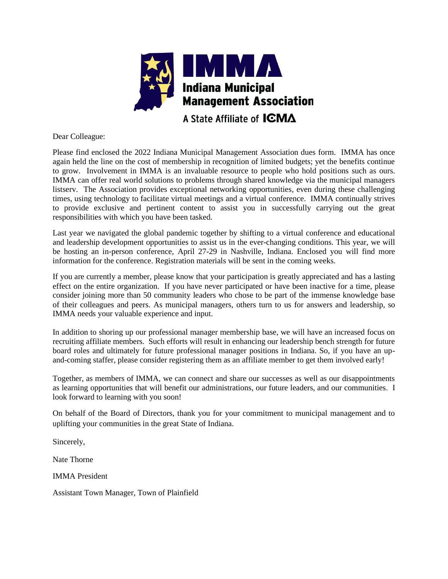

A State Affiliate of **ICMA** 

Dear Colleague:

Please find enclosed the 2022 Indiana Municipal Management Association dues form. IMMA has once again held the line on the cost of membership in recognition of limited budgets; yet the benefits continue to grow. Involvement in IMMA is an invaluable resource to people who hold positions such as ours. IMMA can offer real world solutions to problems through shared knowledge via the municipal managers listserv. The Association provides exceptional networking opportunities, even during these challenging times, using technology to facilitate virtual meetings and a virtual conference. IMMA continually strives to provide exclusive and pertinent content to assist you in successfully carrying out the great responsibilities with which you have been tasked.

Last year we navigated the global pandemic together by shifting to a virtual conference and educational and leadership development opportunities to assist us in the ever-changing conditions. This year, we will be hosting an in-person conference, April 27-29 in Nashville, Indiana. Enclosed you will find more information for the conference. Registration materials will be sent in the coming weeks.

If you are currently a member, please know that your participation is greatly appreciated and has a lasting effect on the entire organization. If you have never participated or have been inactive for a time, please consider joining more than 50 community leaders who chose to be part of the immense knowledge base of their colleagues and peers. As municipal managers, others turn to us for answers and leadership, so IMMA needs your valuable experience and input.

In addition to shoring up our professional manager membership base, we will have an increased focus on recruiting affiliate members. Such efforts will result in enhancing our leadership bench strength for future board roles and ultimately for future professional manager positions in Indiana. So, if you have an upand-coming staffer, please consider registering them as an affiliate member to get them involved early!

Together, as members of IMMA, we can connect and share our successes as well as our disappointments as learning opportunities that will benefit our administrations, our future leaders, and our communities. I look forward to learning with you soon!

On behalf of the Board of Directors, thank you for your commitment to municipal management and to uplifting your communities in the great State of Indiana.

Sincerely,

Nate Thorne

IMMA President

Assistant Town Manager, Town of Plainfield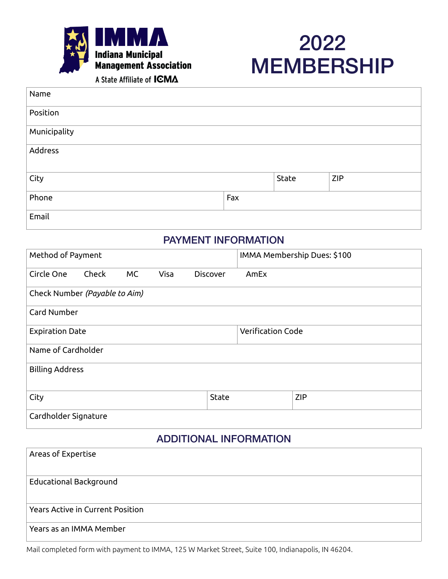



A State Affiliate of ICMA

| Name         |     |       |            |
|--------------|-----|-------|------------|
| Position     |     |       |            |
| Municipality |     |       |            |
| Address      |     |       |            |
| City         |     | State | <b>ZIP</b> |
| Phone        | Fax |       |            |
| Email        |     |       |            |

## PAYMENT INFORMATION

| Method of Payment             |       |    |      |                 |                          | IMMA Membership Dues: \$100 |  |
|-------------------------------|-------|----|------|-----------------|--------------------------|-----------------------------|--|
| Circle One                    | Check | MC | Visa | <b>Discover</b> | AmEx                     |                             |  |
| Check Number (Payable to Aim) |       |    |      |                 |                          |                             |  |
| Card Number                   |       |    |      |                 |                          |                             |  |
| <b>Expiration Date</b>        |       |    |      |                 | <b>Verification Code</b> |                             |  |
| Name of Cardholder            |       |    |      |                 |                          |                             |  |
| <b>Billing Address</b>        |       |    |      |                 |                          |                             |  |
| City                          |       |    |      | <b>State</b>    |                          | <b>ZIP</b>                  |  |
| Cardholder Signature          |       |    |      |                 |                          |                             |  |

## ADDITIONAL INFORMATION

| Areas of Expertise                      |
|-----------------------------------------|
| <b>Educational Background</b>           |
| <b>Years Active in Current Position</b> |
| Years as an IMMA Member                 |

Mail completed form with payment to IMMA, 125 W Market Street, Suite 100, Indianapolis, IN 46204.